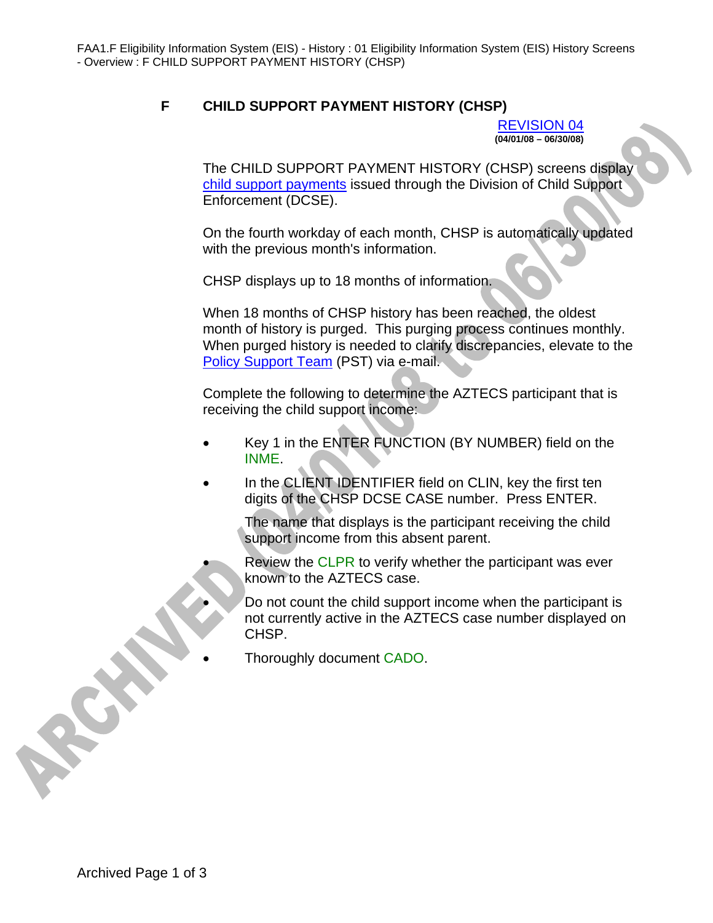## **F CHILD SUPPORT PAYMENT HISTORY (CHSP)**

REVISION 04 **(04/01/08 – 06/30/08)** 

The CHILD SUPPORT PAYMENT HISTORY (CHSP) screens display child support payments issued through the Division of Child Support Enforcement (DCSE).

On the fourth workday of each month, CHSP is automatically updated with the previous month's information.

CHSP displays up to 18 months of information.

When 18 months of CHSP history has been reached, the oldest month of history is purged. This purging process continues monthly. When purged history is needed to clarify discrepancies, elevate to the Policy Support Team (PST) via e-mail.

Complete the following to determine the AZTECS participant that is receiving the child support income:

- Key 1 in the ENTER FUNCTION (BY NUMBER) field on the INME.
- In the CLIENT IDENTIFIER field on CLIN, key the first ten digits of the CHSP DCSE CASE number. Press ENTER.

The name that displays is the participant receiving the child support income from this absent parent.

Review the CLPR to verify whether the participant was ever known to the AZTECS case.

• Do not count the child support income when the participant is not currently active in the AZTECS case number displayed on CHSP.

• Thoroughly document CADO.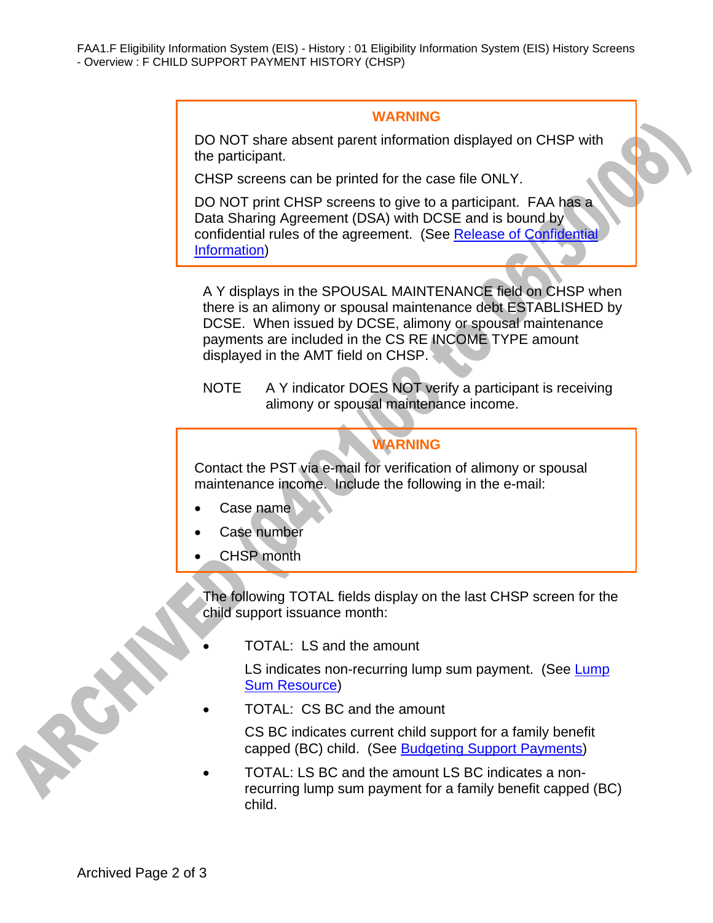FAA1.F Eligibility Information System (EIS) - History : 01 Eligibility Information System (EIS) History Screens - Overview : F CHILD SUPPORT PAYMENT HISTORY (CHSP)

## **WARNING**

DO NOT share absent parent information displayed on CHSP with the participant.

CHSP screens can be printed for the case file ONLY.

DO NOT print CHSP screens to give to a participant. FAA has a Data Sharing Agreement (DSA) with DCSE and is bound by confidential rules of the agreement. (See Release of Confidential Information)

A Y displays in the SPOUSAL MAINTENANCE field on CHSP when there is an alimony or spousal maintenance debt ESTABLISHED by DCSE. When issued by DCSE, alimony or spousal maintenance payments are included in the CS RE INCOME TYPE amount displayed in the AMT field on CHSP.

NOTE A Y indicator DOES NOT verify a participant is receiving alimony or spousal maintenance income.

## **WARNING**

Contact the PST via e-mail for verification of alimony or spousal maintenance income. Include the following in the e-mail:

- Case name
- Case number
- CHSP month

The following TOTAL fields display on the last CHSP screen for the child support issuance month:

• TOTAL: LS and the amount

LS indicates non-recurring lump sum payment. (See Lump Sum Resource)

• TOTAL: CS BC and the amount

CS BC indicates current child support for a family benefit capped (BC) child. (See Budgeting Support Payments)

• TOTAL: LS BC and the amount LS BC indicates a nonrecurring lump sum payment for a family benefit capped (BC) child.